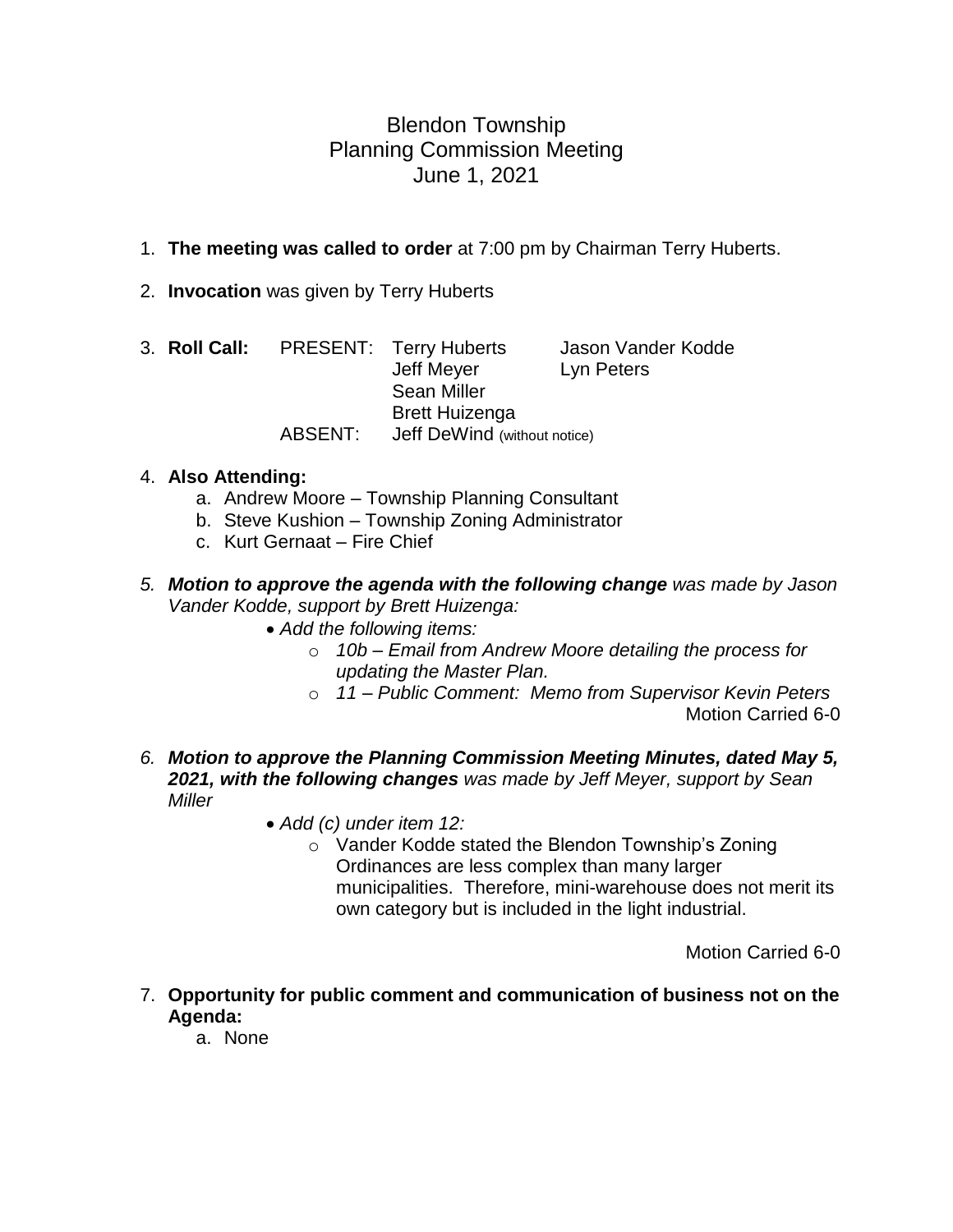# Blendon Township Planning Commission Meeting June 1, 2021

## 1. **The meeting was called to order** at 7:00 pm by Chairman Terry Huberts.

2. **Invocation** was given by Terry Huberts

|         |  | 3. Roll Call: PRESENT: Terry Huberts | Jason Vander Kodde |
|---------|--|--------------------------------------|--------------------|
|         |  | Jeff Meyer                           | Lyn Peters         |
|         |  | <b>Sean Miller</b>                   |                    |
|         |  | <b>Brett Huizenga</b>                |                    |
| ABSENT: |  | Jeff DeWind (without notice)         |                    |

#### 4. **Also Attending:**

- a. Andrew Moore Township Planning Consultant
- b. Steve Kushion Township Zoning Administrator
- c. Kurt Gernaat Fire Chief
- *5. Motion to approve the agenda with the following change was made by Jason Vander Kodde, support by Brett Huizenga:*
	- *Add the following items:*
		- o *10b – Email from Andrew Moore detailing the process for updating the Master Plan.*
		- o *11 – Public Comment: Memo from Supervisor Kevin Peters* Motion Carried 6-0
- *6. Motion to approve the Planning Commission Meeting Minutes, dated May 5, 2021, with the following changes was made by Jeff Meyer, support by Sean Miller*
	- *Add (c) under item 12:*
		- o Vander Kodde stated the Blendon Township's Zoning Ordinances are less complex than many larger municipalities. Therefore, mini-warehouse does not merit its own category but is included in the light industrial.

Motion Carried 6-0

- 7. **Opportunity for public comment and communication of business not on the Agenda:**
	- a. None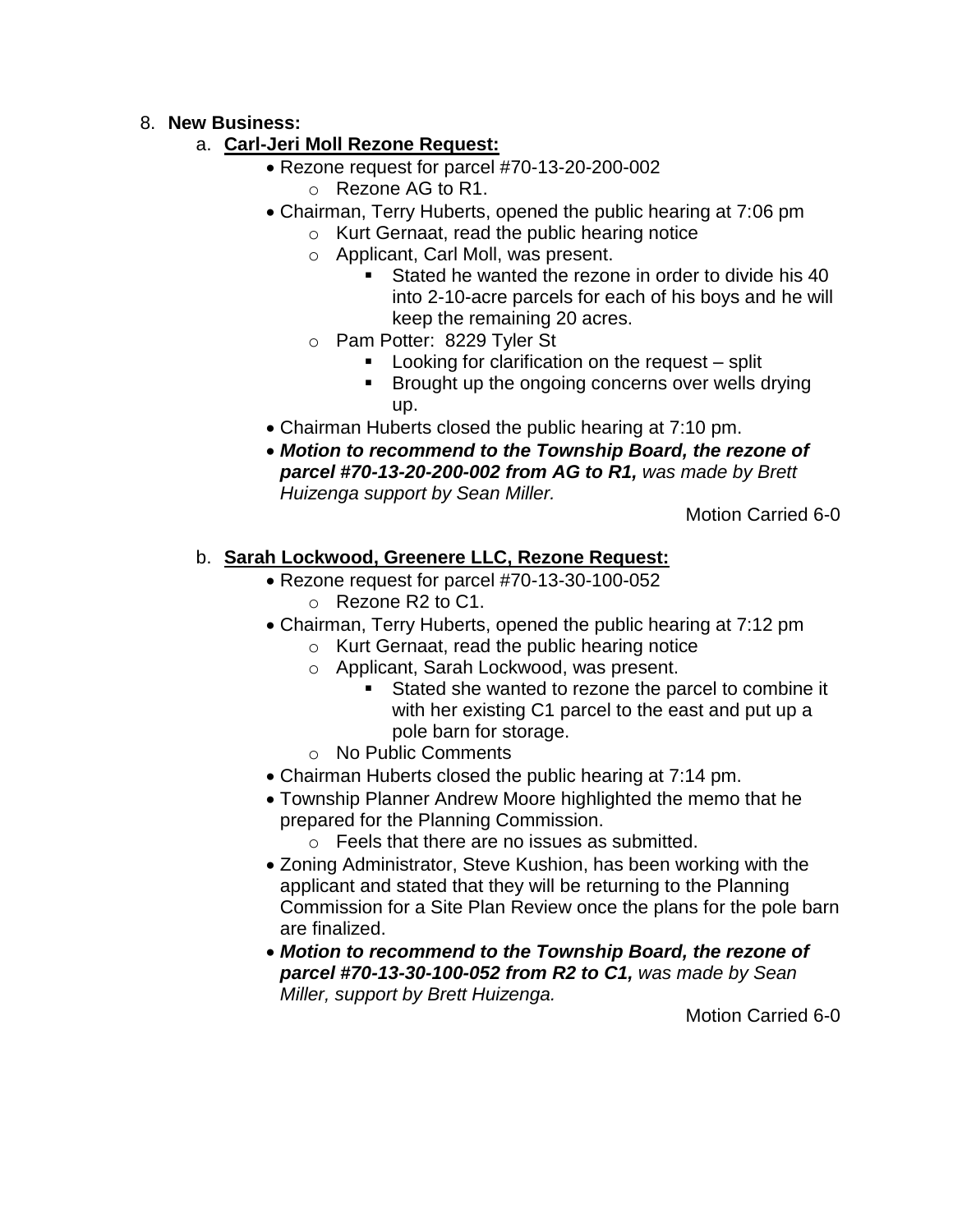#### 8. **New Business:**

### a. **Carl-Jeri Moll Rezone Request:**

- Rezone request for parcel #70-13-20-200-002
	- o Rezone AG to R1.
- Chairman, Terry Huberts, opened the public hearing at 7:06 pm
	- o Kurt Gernaat, read the public hearing notice
	- o Applicant, Carl Moll, was present.
		- Stated he wanted the rezone in order to divide his 40 into 2-10-acre parcels for each of his boys and he will keep the remaining 20 acres.
	- o Pam Potter: 8229 Tyler St
		- Looking for clarification on the request split
		- Brought up the ongoing concerns over wells drying up.
- Chairman Huberts closed the public hearing at 7:10 pm.
- *Motion to recommend to the Township Board, the rezone of parcel #70-13-20-200-002 from AG to R1, was made by Brett Huizenga support by Sean Miller.*

Motion Carried 6-0

# b. **Sarah Lockwood, Greenere LLC, Rezone Request:**

- Rezone request for parcel #70-13-30-100-052 o Rezone R2 to C1.
- Chairman, Terry Huberts, opened the public hearing at 7:12 pm
	- o Kurt Gernaat, read the public hearing notice
	- o Applicant, Sarah Lockwood, was present.
		- Stated she wanted to rezone the parcel to combine it with her existing C1 parcel to the east and put up a pole barn for storage.
	- o No Public Comments
- Chairman Huberts closed the public hearing at 7:14 pm.
- Township Planner Andrew Moore highlighted the memo that he prepared for the Planning Commission.
	- o Feels that there are no issues as submitted.
- Zoning Administrator, Steve Kushion, has been working with the applicant and stated that they will be returning to the Planning Commission for a Site Plan Review once the plans for the pole barn are finalized.
- *Motion to recommend to the Township Board, the rezone of parcel #70-13-30-100-052 from R2 to C1, was made by Sean Miller, support by Brett Huizenga.*

Motion Carried 6-0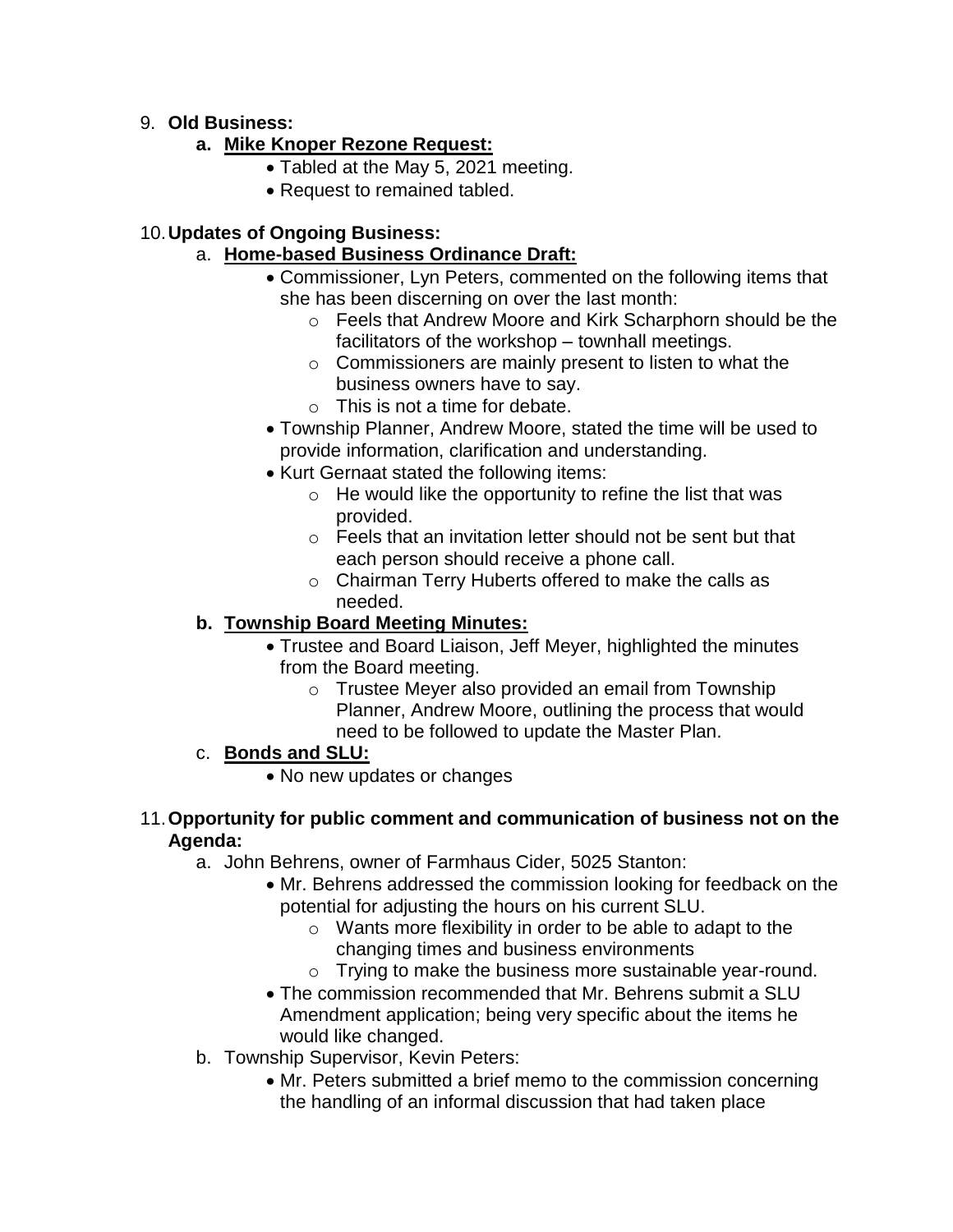### 9. **Old Business:**

## **a. Mike Knoper Rezone Request:**

- Tabled at the May 5, 2021 meeting.
- Request to remained tabled.

### 10.**Updates of Ongoing Business:**

## a. **Home-based Business Ordinance Draft:**

- Commissioner, Lyn Peters, commented on the following items that she has been discerning on over the last month:
	- o Feels that Andrew Moore and Kirk Scharphorn should be the facilitators of the workshop – townhall meetings.
	- $\circ$  Commissioners are mainly present to listen to what the business owners have to say.
	- $\circ$  This is not a time for debate.
- Township Planner, Andrew Moore, stated the time will be used to provide information, clarification and understanding.
- Kurt Gernaat stated the following items:
	- $\circ$  He would like the opportunity to refine the list that was provided.
	- o Feels that an invitation letter should not be sent but that each person should receive a phone call.
	- o Chairman Terry Huberts offered to make the calls as needed.

# **b. Township Board Meeting Minutes:**

- Trustee and Board Liaison, Jeff Meyer, highlighted the minutes from the Board meeting.
	- o Trustee Meyer also provided an email from Township Planner, Andrew Moore, outlining the process that would need to be followed to update the Master Plan.

# c. **Bonds and SLU:**

• No new updates or changes

#### 11.**Opportunity for public comment and communication of business not on the Agenda:**

- a. John Behrens, owner of Farmhaus Cider, 5025 Stanton:
	- Mr. Behrens addressed the commission looking for feedback on the potential for adjusting the hours on his current SLU.
		- o Wants more flexibility in order to be able to adapt to the changing times and business environments
		- o Trying to make the business more sustainable year-round.
	- The commission recommended that Mr. Behrens submit a SLU Amendment application; being very specific about the items he would like changed.
- b. Township Supervisor, Kevin Peters:
	- Mr. Peters submitted a brief memo to the commission concerning the handling of an informal discussion that had taken place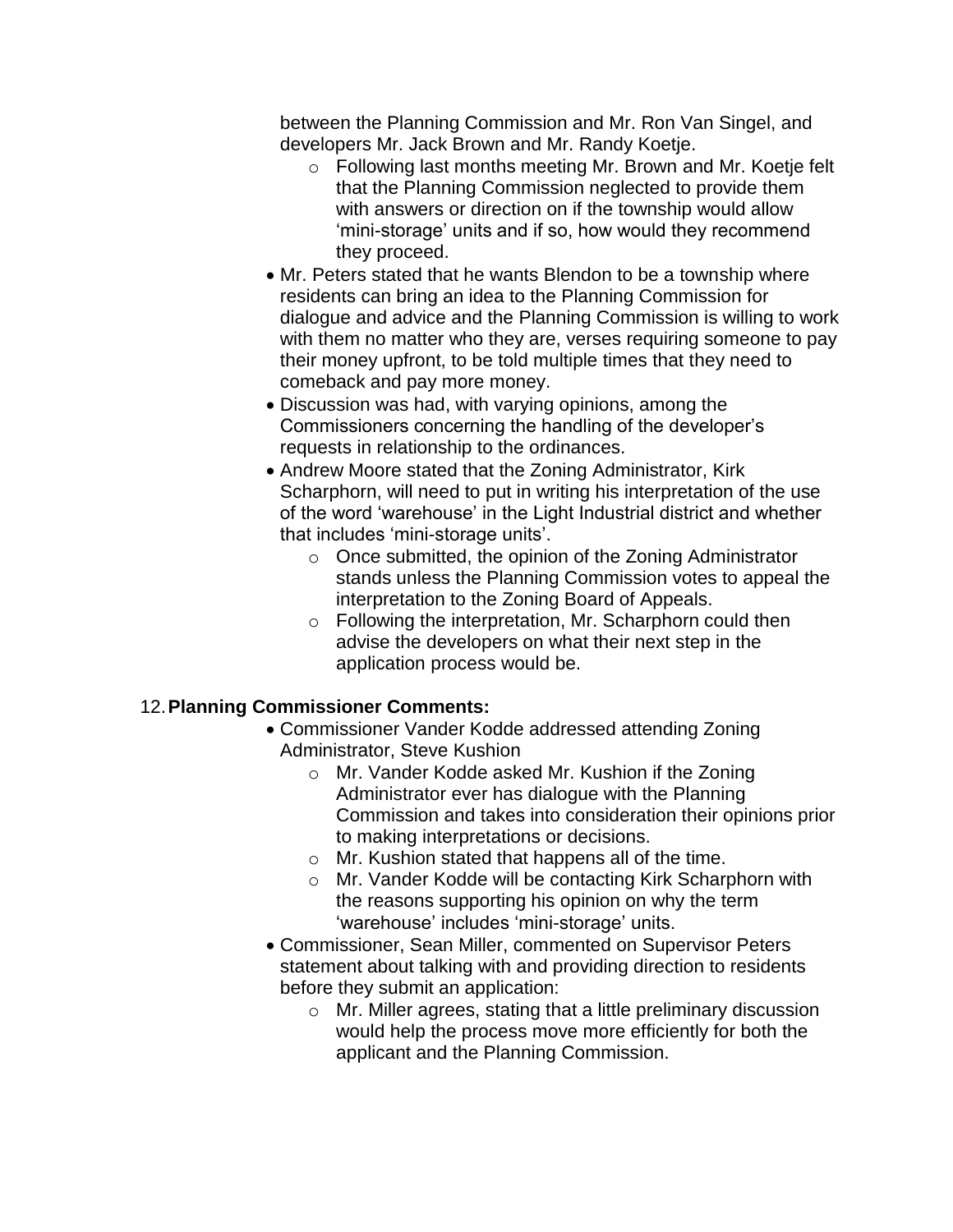between the Planning Commission and Mr. Ron Van Singel, and developers Mr. Jack Brown and Mr. Randy Koetje.

- o Following last months meeting Mr. Brown and Mr. Koetje felt that the Planning Commission neglected to provide them with answers or direction on if the township would allow 'mini-storage' units and if so, how would they recommend they proceed.
- Mr. Peters stated that he wants Blendon to be a township where residents can bring an idea to the Planning Commission for dialogue and advice and the Planning Commission is willing to work with them no matter who they are, verses requiring someone to pay their money upfront, to be told multiple times that they need to comeback and pay more money.
- Discussion was had, with varying opinions, among the Commissioners concerning the handling of the developer's requests in relationship to the ordinances.
- Andrew Moore stated that the Zoning Administrator, Kirk Scharphorn, will need to put in writing his interpretation of the use of the word 'warehouse' in the Light Industrial district and whether that includes 'mini-storage units'.
	- o Once submitted, the opinion of the Zoning Administrator stands unless the Planning Commission votes to appeal the interpretation to the Zoning Board of Appeals.
	- o Following the interpretation, Mr. Scharphorn could then advise the developers on what their next step in the application process would be.

#### 12.**Planning Commissioner Comments:**

- Commissioner Vander Kodde addressed attending Zoning Administrator, Steve Kushion
	- o Mr. Vander Kodde asked Mr. Kushion if the Zoning Administrator ever has dialogue with the Planning Commission and takes into consideration their opinions prior to making interpretations or decisions.
	- o Mr. Kushion stated that happens all of the time.
	- o Mr. Vander Kodde will be contacting Kirk Scharphorn with the reasons supporting his opinion on why the term 'warehouse' includes 'mini-storage' units.
- Commissioner, Sean Miller, commented on Supervisor Peters statement about talking with and providing direction to residents before they submit an application:
	- o Mr. Miller agrees, stating that a little preliminary discussion would help the process move more efficiently for both the applicant and the Planning Commission.